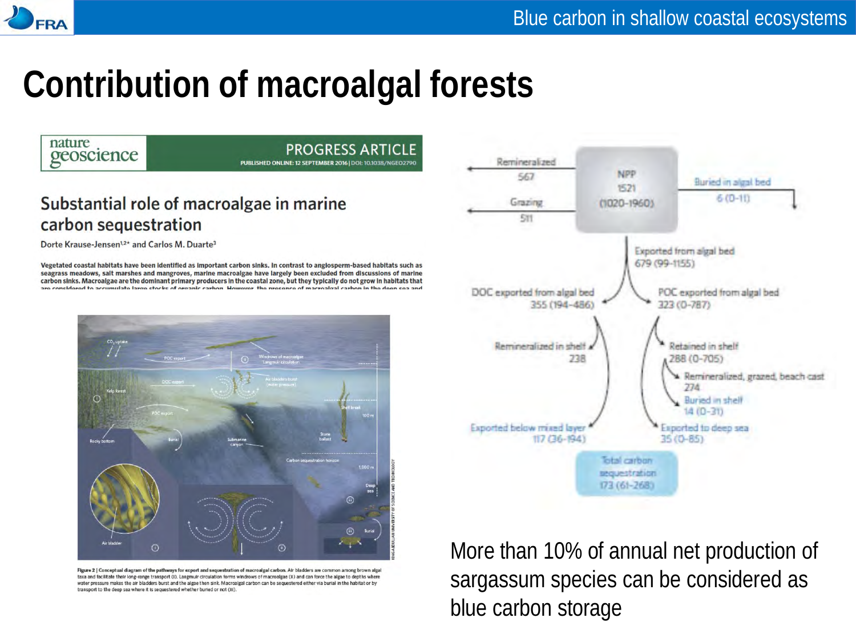## **Contribution of macroalgal forests**



transport to the deep sea where it is sequestered whether buried or not (iii).

blue carbon storage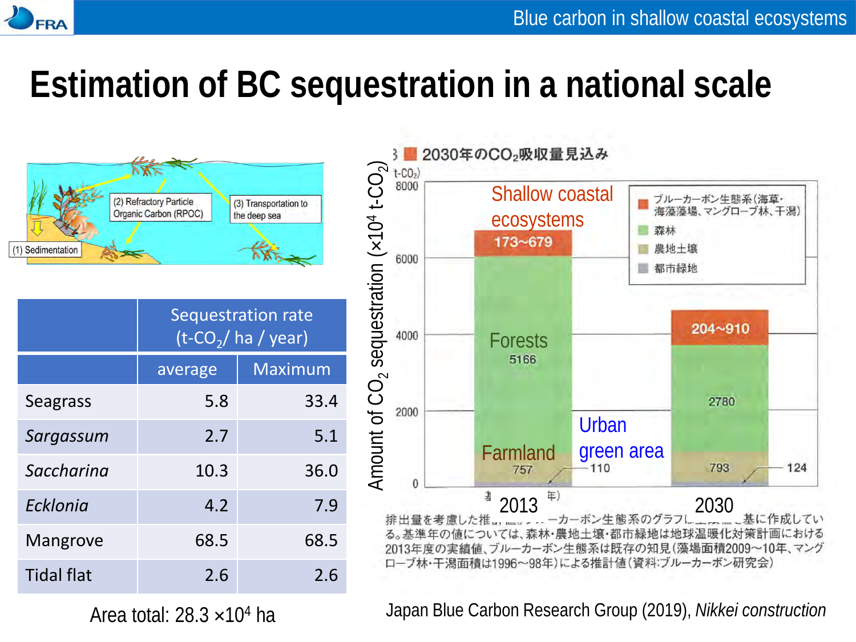

# **Estimation of BC sequestration in a national scale**



|                   | Sequestration rate<br>$(t$ -CO <sub>2</sub> / ha / year) |                |
|-------------------|----------------------------------------------------------|----------------|
|                   | average                                                  | <b>Maximum</b> |
| <b>Seagrass</b>   | 5.8                                                      | 33.4           |
| Sargassum         | 2.7                                                      | 5.1            |
| Saccharina        | 10.3                                                     | 36.0           |
| Ecklonia          | 4.2                                                      | 7.9            |
| Mangrove          | 68.5                                                     | 68.5           |
| <b>Tidal flat</b> | 2.6                                                      | 2.6            |



Japan Blue Carbon Research Group (2019), *Nikkei construction*

Area total:  $28.3 \times 10^4$  ha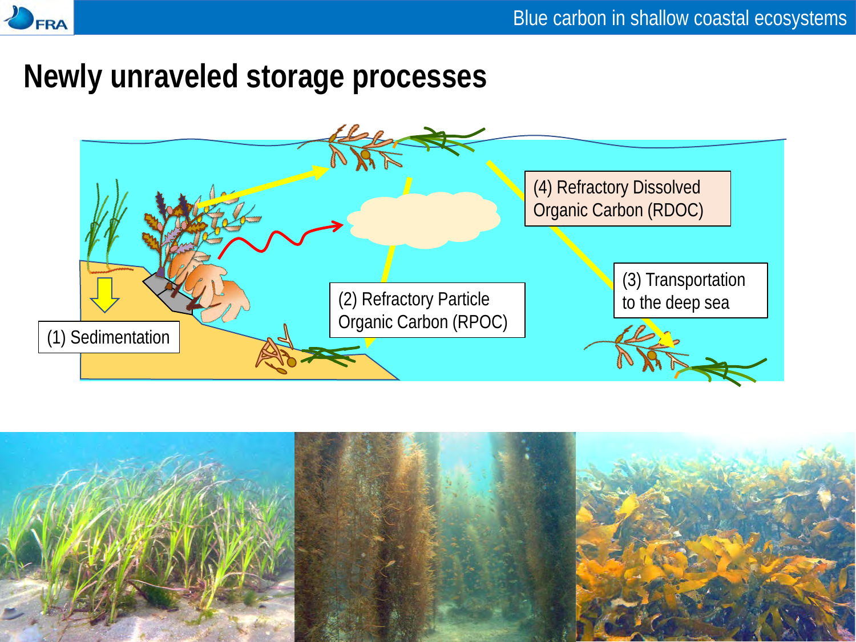

#### **Newly unraveled storage processes**



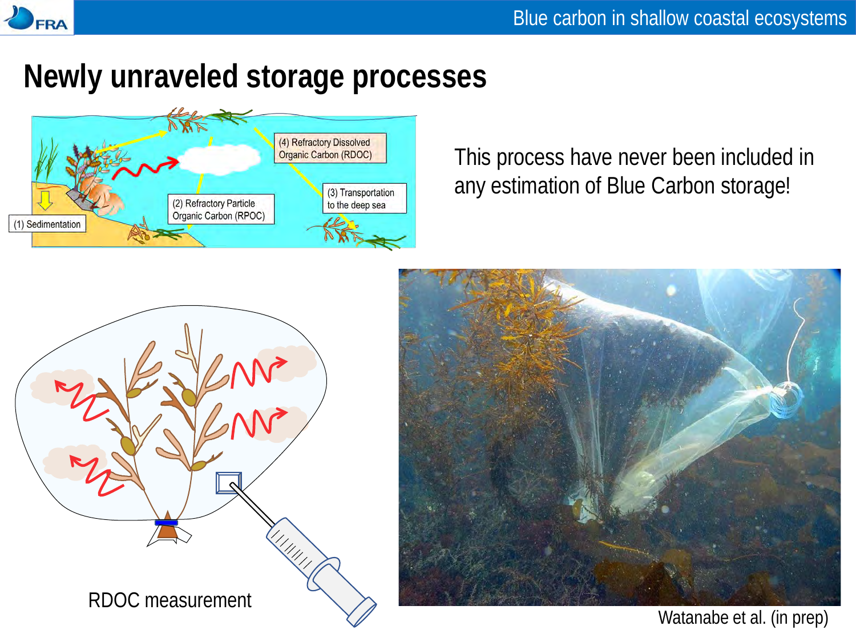

### **Newly unraveled storage processes**



This process have never been included in any estimation of Blue Carbon storage!





Watanabe et al. (in prep)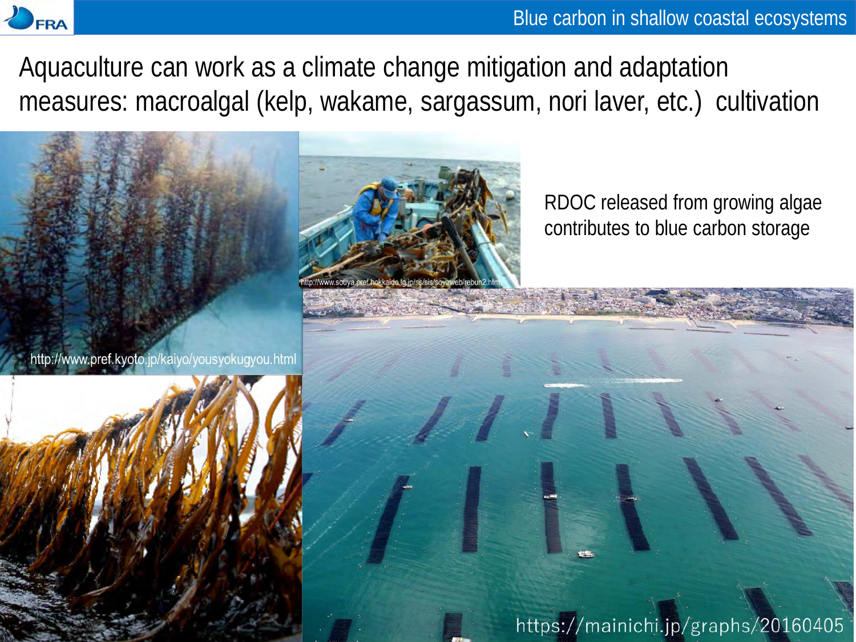

Blue carbon in shallow coastal ecosystems

Aquaculture can work as a climate change mitigation and adaptation measures: macroalgal (kelp, wakame, sargassum, nori laver, etc.) cultivation

http://www.pref.kyoto.jp/kaiyo/yousyokugyou.html



RDOC released from growing algae contributes to blue carbon storage